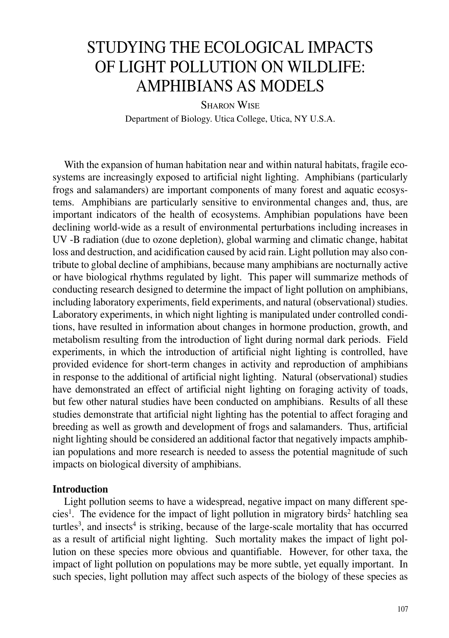# STUDYING THE ECOLOGICAL IMPACTS OF LIGHT POLLUTION ON WILDLIFE: AMPHIBIANS AS MODELS

SHARON WISE Department of Biology. Utica College, Utica, NY U.S.A.

With the expansion of human habitation near and within natural habitats, fragile ecosystems are increasingly exposed to artificial night lighting. Amphibians (particularly frogs and salamanders) are important components of many forest and aquatic ecosystems. Amphibians are particularly sensitive to environmental changes and, thus, are important indicators of the health of ecosystems. Amphibian populations have been declining world-wide as a result of environmental perturbations including increases in UV -B radiation (due to ozone depletion), global warming and climatic change, habitat loss and destruction, and acidification caused by acid rain. Light pollution may also contribute to global decline of amphibians, because many amphibians are nocturnally active or have biological rhythms regulated by light. This paper will summarize methods of conducting research designed to determine the impact of light pollution on amphibians, including laboratory experiments, field experiments, and natural (observational) studies. Laboratory experiments, in which night lighting is manipulated under controlled conditions, have resulted in information about changes in hormone production, growth, and metabolism resulting from the introduction of light during normal dark periods. Field experiments, in which the introduction of artificial night lighting is controlled, have provided evidence for short-term changes in activity and reproduction of amphibians in response to the additional of artificial night lighting. Natural (observational) studies have demonstrated an effect of artificial night lighting on foraging activity of toads, but few other natural studies have been conducted on amphibians. Results of all these studies demonstrate that artificial night lighting has the potential to affect foraging and breeding as well as growth and development of frogs and salamanders. Thus, artificial night lighting should be considered an additional factor that negatively impacts amphibian populations and more research is needed to assess the potential magnitude of such impacts on biological diversity of amphibians.

#### **Introduction**

Light pollution seems to have a widespread, negative impact on many different species<sup>1</sup>. The evidence for the impact of light pollution in migratory birds<sup>2</sup> hatchling sea turtles<sup>3</sup>, and insects<sup>4</sup> is striking, because of the large-scale mortality that has occurred as a result of artificial night lighting. Such mortality makes the impact of light pollution on these species more obvious and quantifiable. However, for other taxa, the impact of light pollution on populations may be more subtle, yet equally important. In such species, light pollution may affect such aspects of the biology of these species as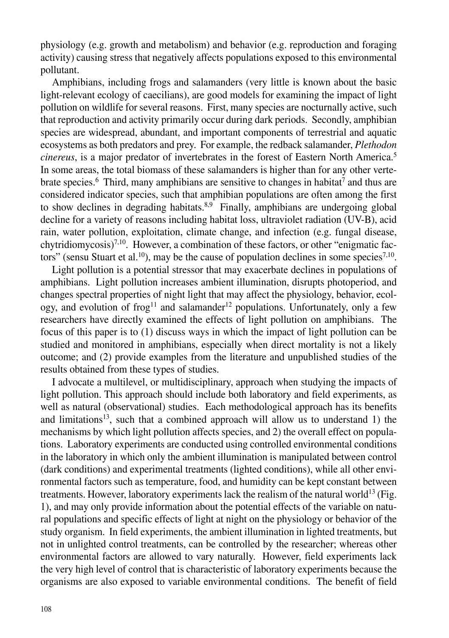physiology (e.g. growth and metabolism) and behavior (e.g. reproduction and foraging activity) causing stress that negatively affects populations exposed to this environmental pollutant.

Amphibians, including frogs and salamanders (very little is known about the basic light-relevant ecology of caecilians), are good models for examining the impact of light pollution on wildlife for several reasons. First, many species are nocturnally active, such that reproduction and activity primarily occur during dark periods. Secondly, amphibian species are widespread, abundant, and important components of terrestrial and aquatic ecosystems as both predators and prey. For example, the redback salamander, *Plethodon cinereus*, is a major predator of invertebrates in the forest of Eastern North America.5 In some areas, the total biomass of these salamanders is higher than for any other vertebrate species.<sup>6</sup> Third, many amphibians are sensitive to changes in habitat<sup>7</sup> and thus are considered indicator species, such that amphibian populations are often among the first to show declines in degrading habitats. $8.9^{\circ}$  Finally, amphibians are undergoing global decline for a variety of reasons including habitat loss, ultraviolet radiation (UV-B), acid rain, water pollution, exploitation, climate change, and infection (e.g. fungal disease, chytridiomycosis)<sup>7,10</sup>. However, a combination of these factors, or other "enigmatic factors" (sensu Stuart et al.<sup>10</sup>), may be the cause of population declines in some species<sup>7,10</sup>.

Light pollution is a potential stressor that may exacerbate declines in populations of amphibians. Light pollution increases ambient illumination, disrupts photoperiod, and changes spectral properties of night light that may affect the physiology, behavior, ecology, and evolution of frog<sup>11</sup> and salamander<sup>12</sup> populations. Unfortunately, only a few researchers have directly examined the effects of light pollution on amphibians. The focus of this paper is to (1) discuss ways in which the impact of light pollution can be studied and monitored in amphibians, especially when direct mortality is not a likely outcome; and (2) provide examples from the literature and unpublished studies of the results obtained from these types of studies.

I advocate a multilevel, or multidisciplinary, approach when studying the impacts of light pollution. This approach should include both laboratory and field experiments, as well as natural (observational) studies. Each methodological approach has its benefits and limitations<sup>13</sup>, such that a combined approach will allow us to understand 1) the mechanisms by which light pollution affects species, and 2) the overall effect on populations. Laboratory experiments are conducted using controlled environmental conditions in the laboratory in which only the ambient illumination is manipulated between control (dark conditions) and experimental treatments (lighted conditions), while all other environmental factors such as temperature, food, and humidity can be kept constant between treatments. However, laboratory experiments lack the realism of the natural world<sup>13</sup> (Fig. 1), and may only provide information about the potential effects of the variable on natural populations and specific effects of light at night on the physiology or behavior of the study organism. In field experiments, the ambient illumination in lighted treatments, but not in unlighted control treatments, can be controlled by the researcher; whereas other environmental factors are allowed to vary naturally. However, field experiments lack the very high level of control that is characteristic of laboratory experiments because the organisms are also exposed to variable environmental conditions. The benefit of field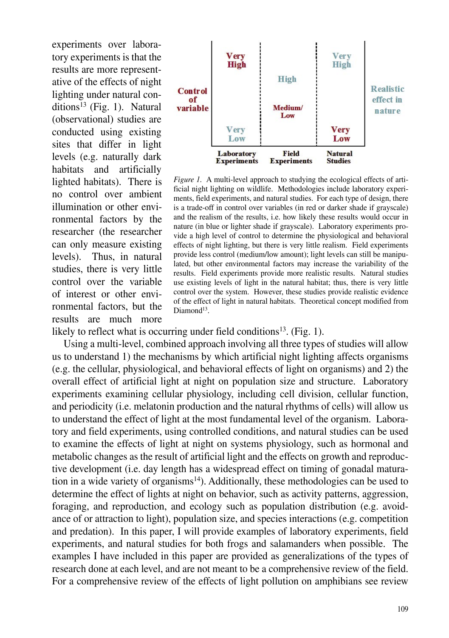experiments over laboratory experiments is that the results are more representative of the effects of night lighting under natural con $ditions<sup>13</sup>$  (Fig. 1). Natural (observational) studies are conducted using existing sites that differ in light levels (e.g. naturally dark habitats and artificially lighted habitats). There is no control over ambient illumination or other environmental factors by the researcher (the researcher can only measure existing levels). Thus, in natural studies, there is very little control over the variable of interest or other environmental factors, but the results are much more



*Figure 1.* A multi-level approach to studying the ecological effects of artificial night lighting on wildlife. Methodologies include laboratory experiments, field experiments, and natural studies. For each type of design, there is a trade-off in control over variables (in red or darker shade if grayscale) and the realism of the results, i.e. how likely these results would occur in nature (in blue or lighter shade if grayscale). Laboratory experiments provide a high level of control to determine the physiological and behavioral effects of night lighting, but there is very little realism. Field experiments provide less control (medium/low amount); light levels can still be manipulated, but other environmental factors may increase the variability of the results. Field experiments provide more realistic results. Natural studies use existing levels of light in the natural habitat; thus, there is very little control over the system. However, these studies provide realistic evidence of the effect of light in natural habitats. Theoretical concept modified from Diamond<sup>13</sup>.

likely to reflect what is occurring under field conditions<sup>13</sup>. (Fig. 1).

Using a multi-level, combined approach involving all three types of studies will allow us to understand 1) the mechanisms by which artificial night lighting affects organisms (e.g. the cellular, physiological, and behavioral effects of light on organisms) and 2) the overall effect of artificial light at night on population size and structure. Laboratory experiments examining cellular physiology, including cell division, cellular function, and periodicity (i.e. melatonin production and the natural rhythms of cells) will allow us to understand the effect of light at the most fundamental level of the organism. Laboratory and field experiments, using controlled conditions, and natural studies can be used to examine the effects of light at night on systems physiology, such as hormonal and metabolic changes as the result of artificial light and the effects on growth and reproductive development (i.e. day length has a widespread effect on timing of gonadal maturation in a wide variety of organisms<sup>14</sup>). Additionally, these methodologies can be used to determine the effect of lights at night on behavior, such as activity patterns, aggression, foraging, and reproduction, and ecology such as population distribution (e.g. avoidance of or attraction to light), population size, and species interactions (e.g. competition and predation). In this paper, I will provide examples of laboratory experiments, field experiments, and natural studies for both frogs and salamanders when possible. The examples I have included in this paper are provided as generalizations of the types of research done at each level, and are not meant to be a comprehensive review of the field. For a comprehensive review of the effects of light pollution on amphibians see review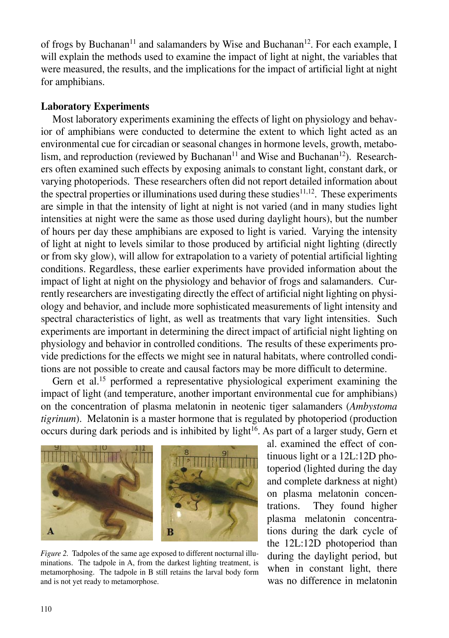of frogs by Buchanan<sup>11</sup> and salamanders by Wise and Buchanan<sup>12</sup>. For each example, I will explain the methods used to examine the impact of light at night, the variables that were measured, the results, and the implications for the impact of artificial light at night for amphibians.

### **Laboratory Experiments**

Most laboratory experiments examining the effects of light on physiology and behavior of amphibians were conducted to determine the extent to which light acted as an environmental cue for circadian or seasonal changes in hormone levels, growth, metabolism, and reproduction (reviewed by Buchanan<sup>11</sup> and Wise and Buchanan<sup>12</sup>). Researchers often examined such effects by exposing animals to constant light, constant dark, or varying photoperiods. These researchers often did not report detailed information about the spectral properties or illuminations used during these studies $11,12$ . These experiments are simple in that the intensity of light at night is not varied (and in many studies light intensities at night were the same as those used during daylight hours), but the number of hours per day these amphibians are exposed to light is varied. Varying the intensity of light at night to levels similar to those produced by artificial night lighting (directly or from sky glow), will allow for extrapolation to a variety of potential artificial lighting conditions. Regardless, these earlier experiments have provided information about the impact of light at night on the physiology and behavior of frogs and salamanders. Currently researchers are investigating directly the effect of artificial night lighting on physiology and behavior, and include more sophisticated measurements of light intensity and spectral characteristics of light, as well as treatments that vary light intensities. Such experiments are important in determining the direct impact of artificial night lighting on physiology and behavior in controlled conditions. The results of these experiments provide predictions for the effects we might see in natural habitats, where controlled conditions are not possible to create and causal factors may be more difficult to determine.

Gern et al.<sup>15</sup> performed a representative physiological experiment examining the impact of light (and temperature, another important environmental cue for amphibians) on the concentration of plasma melatonin in neotenic tiger salamanders (*Ambystoma tigrinum*). Melatonin is a master hormone that is regulated by photoperiod (production occurs during dark periods and is inhibited by light<sup>16</sup>. As part of a larger study, Gern et



*Figure 2.* Tadpoles of the same age exposed to different nocturnal illuminations. The tadpole in A, from the darkest lighting treatment, is metamorphosing. The tadpole in B still retains the larval body form and is not yet ready to metamorphose.

al. examined the effect of continuous light or a 12L:12D photoperiod (lighted during the day and complete darkness at night) on plasma melatonin concentrations. They found higher plasma melatonin concentrations during the dark cycle of the 12L:12D photoperiod than during the daylight period, but when in constant light, there was no difference in melatonin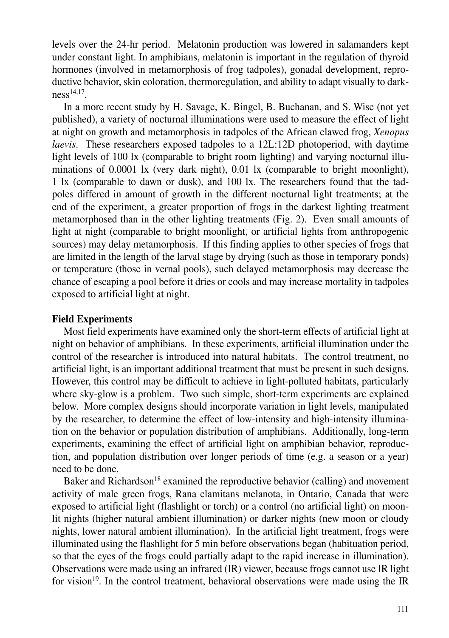levels over the 24-hr period. Melatonin production was lowered in salamanders kept under constant light. In amphibians, melatonin is important in the regulation of thyroid hormones (involved in metamorphosis of frog tadpoles), gonadal development, reproductive behavior, skin coloration, thermoregulation, and ability to adapt visually to dark $ness<sup>14,17</sup>$ .

In a more recent study by H. Savage, K. Bingel, B. Buchanan, and S. Wise (not yet published), a variety of nocturnal illuminations were used to measure the effect of light at night on growth and metamorphosis in tadpoles of the African clawed frog, *Xenopus laevis*. These researchers exposed tadpoles to a 12L:12D photoperiod, with daytime light levels of 100 lx (comparable to bright room lighting) and varying nocturnal illuminations of 0.0001 lx (very dark night), 0.01 lx (comparable to bright moonlight), 1 lx (comparable to dawn or dusk), and 100 lx. The researchers found that the tadpoles differed in amount of growth in the different nocturnal light treatments; at the end of the experiment, a greater proportion of frogs in the darkest lighting treatment metamorphosed than in the other lighting treatments (Fig. 2). Even small amounts of light at night (comparable to bright moonlight, or artificial lights from anthropogenic sources) may delay metamorphosis. If this finding applies to other species of frogs that are limited in the length of the larval stage by drying (such as those in temporary ponds) or temperature (those in vernal pools), such delayed metamorphosis may decrease the chance of escaping a pool before it dries or cools and may increase mortality in tadpoles exposed to artificial light at night.

### **Field Experiments**

Most field experiments have examined only the short-term effects of artificial light at night on behavior of amphibians. In these experiments, artificial illumination under the control of the researcher is introduced into natural habitats. The control treatment, no artificial light, is an important additional treatment that must be present in such designs. However, this control may be difficult to achieve in light-polluted habitats, particularly where sky-glow is a problem. Two such simple, short-term experiments are explained below. More complex designs should incorporate variation in light levels, manipulated by the researcher, to determine the effect of low-intensity and high-intensity illumination on the behavior or population distribution of amphibians. Additionally, long-term experiments, examining the effect of artificial light on amphibian behavior, reproduction, and population distribution over longer periods of time (e.g. a season or a year) need to be done.

Baker and Richardson<sup>18</sup> examined the reproductive behavior (calling) and movement activity of male green frogs, Rana clamitans melanota, in Ontario, Canada that were exposed to artificial light (flashlight or torch) or a control (no artificial light) on moonlit nights (higher natural ambient illumination) or darker nights (new moon or cloudy nights, lower natural ambient illumination). In the artificial light treatment, frogs were illuminated using the flashlight for 5 min before observations began (habituation period, so that the eyes of the frogs could partially adapt to the rapid increase in illumination). Observations were made using an infrared (IR) viewer, because frogs cannot use IR light for vision<sup>19</sup>. In the control treatment, behavioral observations were made using the IR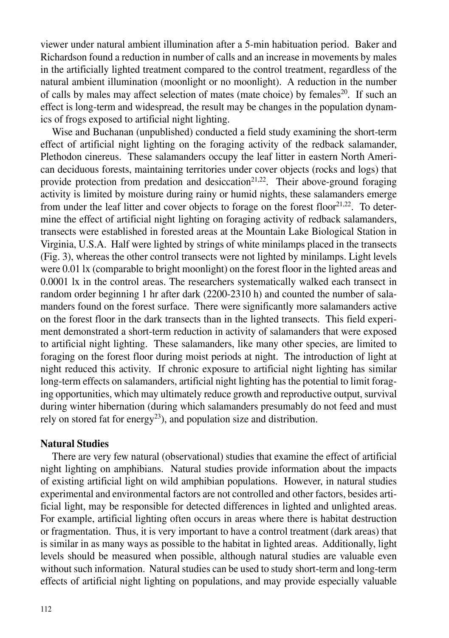viewer under natural ambient illumination after a 5-min habituation period. Baker and Richardson found a reduction in number of calls and an increase in movements by males in the artificially lighted treatment compared to the control treatment, regardless of the natural ambient illumination (moonlight or no moonlight). A reduction in the number of calls by males may affect selection of mates (mate choice) by females<sup>20</sup>. If such an effect is long-term and widespread, the result may be changes in the population dynamics of frogs exposed to artificial night lighting.

Wise and Buchanan (unpublished) conducted a field study examining the short-term effect of artificial night lighting on the foraging activity of the redback salamander, Plethodon cinereus. These salamanders occupy the leaf litter in eastern North American deciduous forests, maintaining territories under cover objects (rocks and logs) that provide protection from predation and desiccation<sup>21,22</sup>. Their above-ground foraging activity is limited by moisture during rainy or humid nights, these salamanders emerge from under the leaf litter and cover objects to forage on the forest floor<sup>21,22</sup>. To determine the effect of artificial night lighting on foraging activity of redback salamanders, transects were established in forested areas at the Mountain Lake Biological Station in Virginia, U.S.A. Half were lighted by strings of white minilamps placed in the transects (Fig. 3), whereas the other control transects were not lighted by minilamps. Light levels were 0.01 lx (comparable to bright moonlight) on the forest floor in the lighted areas and 0.0001 lx in the control areas. The researchers systematically walked each transect in random order beginning 1 hr after dark (2200-2310 h) and counted the number of salamanders found on the forest surface. There were significantly more salamanders active on the forest floor in the dark transects than in the lighted transects. This field experiment demonstrated a short-term reduction in activity of salamanders that were exposed to artificial night lighting. These salamanders, like many other species, are limited to foraging on the forest floor during moist periods at night. The introduction of light at night reduced this activity. If chronic exposure to artificial night lighting has similar long-term effects on salamanders, artificial night lighting has the potential to limit foraging opportunities, which may ultimately reduce growth and reproductive output, survival during winter hibernation (during which salamanders presumably do not feed and must rely on stored fat for energy<sup>23</sup>), and population size and distribution.

## **Natural Studies**

There are very few natural (observational) studies that examine the effect of artificial night lighting on amphibians. Natural studies provide information about the impacts of existing artificial light on wild amphibian populations. However, in natural studies experimental and environmental factors are not controlled and other factors, besides artificial light, may be responsible for detected differences in lighted and unlighted areas. For example, artificial lighting often occurs in areas where there is habitat destruction or fragmentation. Thus, it is very important to have a control treatment (dark areas) that is similar in as many ways as possible to the habitat in lighted areas. Additionally, light levels should be measured when possible, although natural studies are valuable even without such information. Natural studies can be used to study short-term and long-term effects of artificial night lighting on populations, and may provide especially valuable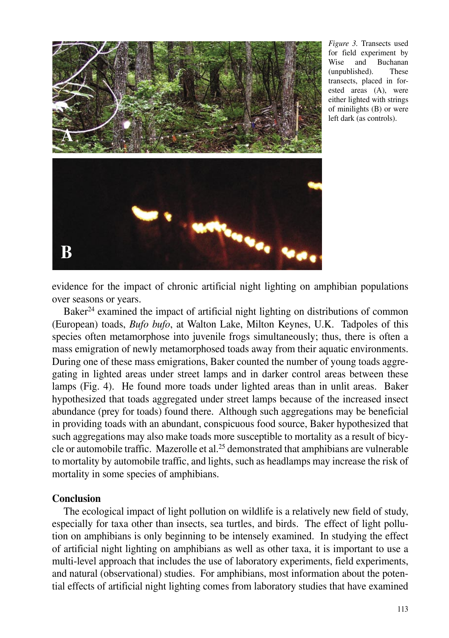

*Figure 3.* Transects used for field experiment by Wise and Buchanan (unpublished). These transects, placed in forested areas (A), were either lighted with strings of minilights (B) or were left dark (as controls).

evidence for the impact of chronic artificial night lighting on amphibian populations over seasons or years.

Baker<sup>24</sup> examined the impact of artificial night lighting on distributions of common (European) toads, *Bufo bufo*, at Walton Lake, Milton Keynes, U.K. Tadpoles of this species often metamorphose into juvenile frogs simultaneously; thus, there is often a mass emigration of newly metamorphosed toads away from their aquatic environments. During one of these mass emigrations, Baker counted the number of young toads aggregating in lighted areas under street lamps and in darker control areas between these lamps (Fig. 4). He found more toads under lighted areas than in unlit areas. Baker hypothesized that toads aggregated under street lamps because of the increased insect abundance (prey for toads) found there. Although such aggregations may be beneficial in providing toads with an abundant, conspicuous food source, Baker hypothesized that such aggregations may also make toads more susceptible to mortality as a result of bicycle or automobile traffic. Mazerolle et al.25 demonstrated that amphibians are vulnerable to mortality by automobile traffic, and lights, such as headlamps may increase the risk of mortality in some species of amphibians.

## **Conclusion**

The ecological impact of light pollution on wildlife is a relatively new field of study, especially for taxa other than insects, sea turtles, and birds. The effect of light pollution on amphibians is only beginning to be intensely examined. In studying the effect of artificial night lighting on amphibians as well as other taxa, it is important to use a multi-level approach that includes the use of laboratory experiments, field experiments, and natural (observational) studies. For amphibians, most information about the potential effects of artificial night lighting comes from laboratory studies that have examined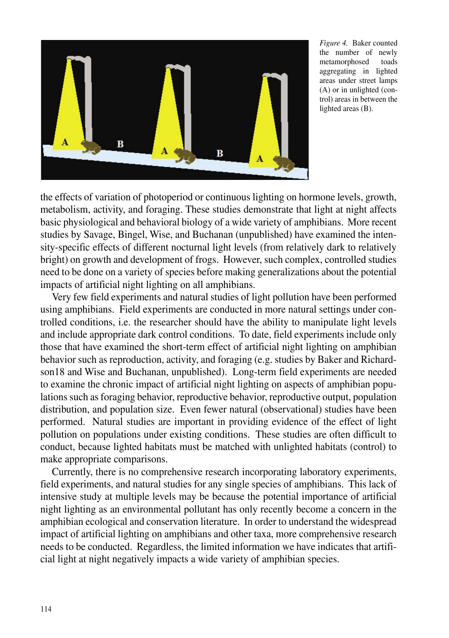

*Figure 4.* Baker counted the number of newly metamorphosed toads aggregating in lighted areas under street lamps (A) or in unlighted (control) areas in between the lighted areas (B).

the effects of variation of photoperiod or continuous lighting on hormone levels, growth, metabolism, activity, and foraging. These studies demonstrate that light at night affects basic physiological and behavioral biology of a wide variety of amphibians. More recent studies by Savage, Bingel, Wise, and Buchanan (unpublished) have examined the intensity-specific effects of different nocturnal light levels (from relatively dark to relatively bright) on growth and development of frogs. However, such complex, controlled studies need to be done on a variety of species before making generalizations about the potential impacts of artificial night lighting on all amphibians.

Very few field experiments and natural studies of light pollution have been performed using amphibians. Field experiments are conducted in more natural settings under controlled conditions, i.e. the researcher should have the ability to manipulate light levels and include appropriate dark control conditions. To date, field experiments include only those that have examined the short-term effect of artificial night lighting on amphibian behavior such as reproduction, activity, and foraging (e.g. studies by Baker and Richardson18 and Wise and Buchanan, unpublished). Long-term field experiments are needed to examine the chronic impact of artificial night lighting on aspects of amphibian populations such as foraging behavior, reproductive behavior, reproductive output, population distribution, and population size. Even fewer natural (observational) studies have been performed. Natural studies are important in providing evidence of the effect of light pollution on populations under existing conditions. These studies are often difficult to conduct, because lighted habitats must be matched with unlighted habitats (control) to make appropriate comparisons.

Currently, there is no comprehensive research incorporating laboratory experiments, field experiments, and natural studies for any single species of amphibians. This lack of intensive study at multiple levels may be because the potential importance of artificial night lighting as an environmental pollutant has only recently become a concern in the amphibian ecological and conservation literature. In order to understand the widespread impact of artificial lighting on amphibians and other taxa, more comprehensive research needs to be conducted. Regardless, the limited information we have indicates that artificial light at night negatively impacts a wide variety of amphibian species.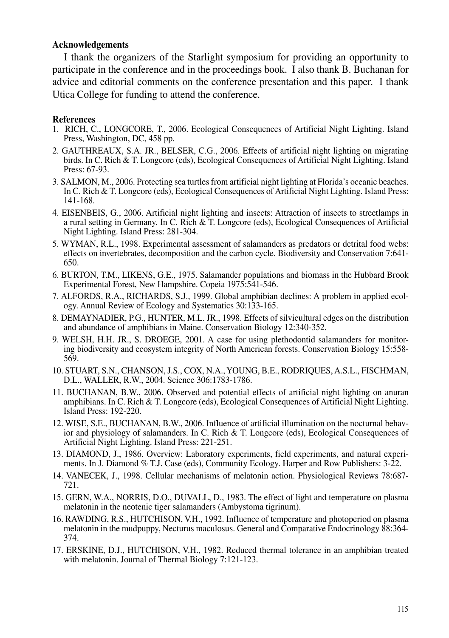#### **Acknowledgements**

I thank the organizers of the Starlight symposium for providing an opportunity to participate in the conference and in the proceedings book. I also thank B. Buchanan for advice and editorial comments on the conference presentation and this paper. I thank Utica College for funding to attend the conference.

#### **References**

- 1. RICH, C., LONGCORE, T., 2006. Ecological Consequences of Artificial Night Lighting. Island Press, Washington, DC, 458 pp.
- 2. GAUTHREAUX, S.A. JR., BELSER, C.G., 2006. Effects of artificial night lighting on migrating birds. In C. Rich & T. Longcore (eds), Ecological Consequences of Artificial Night Lighting. Island Press: 67-93.
- 3. SALMON, M., 2006. Protecting sea turtles from artificial night lighting at Florida's oceanic beaches. In C. Rich & T. Longcore (eds), Ecological Consequences of Artificial Night Lighting. Island Press: 141-168.
- 4. EISENBEIS, G., 2006. Artificial night lighting and insects: Attraction of insects to streetlamps in a rural setting in Germany. In C. Rich & T. Longcore (eds), Ecological Consequences of Artificial Night Lighting. Island Press: 281-304.
- 5. WYMAN, R.L., 1998. Experimental assessment of salamanders as predators or detrital food webs: effects on invertebrates, decomposition and the carbon cycle. Biodiversity and Conservation 7:641- 650.
- 6. BURTON, T.M., LIKENS, G.E., 1975. Salamander populations and biomass in the Hubbard Brook Experimental Forest, New Hampshire. Copeia 1975:541-546.
- 7. ALFORDS, R.A., RICHARDS, S.J., 1999. Global amphibian declines: A problem in applied ecology. Annual Review of Ecology and Systematics 30:133-165.
- 8. DEMAYNADIER, P.G., HUNTER, M.L. JR., 1998. Effects of silvicultural edges on the distribution and abundance of amphibians in Maine. Conservation Biology 12:340-352.
- 9. WELSH, H.H. JR., S. DROEGE, 2001. A case for using plethodontid salamanders for monitoring biodiversity and ecosystem integrity of North American forests. Conservation Biology 15:558- 569.
- 10. STUART, S.N., CHANSON, J.S., COX, N.A., YOUNG, B.E., RODRIQUES, A.S.L., FISCHMAN, D.L., WALLER, R.W., 2004. Science 306:1783-1786.
- 11. BUCHANAN, B.W., 2006. Observed and potential effects of artificial night lighting on anuran amphibians. In C. Rich & T. Longcore (eds), Ecological Consequences of Artificial Night Lighting. Island Press: 192-220.
- 12. WISE, S.E., BUCHANAN, B.W., 2006. Influence of artificial illumination on the nocturnal behavior and physiology of salamanders. In C. Rich & T. Longcore (eds), Ecological Consequences of Artificial Night Lighting. Island Press: 221-251.
- 13. DIAMOND, J., 1986. Overview: Laboratory experiments, field experiments, and natural experiments. In J. Diamond % T.J. Case (eds), Community Ecology. Harper and Row Publishers: 3-22.
- 14. VANECEK, J., 1998. Cellular mechanisms of melatonin action. Physiological Reviews 78:687- 721.
- 15. GERN, W.A., NORRIS, D.O., DUVALL, D., 1983. The effect of light and temperature on plasma melatonin in the neotenic tiger salamanders (Ambystoma tigrinum).
- 16. RAWDING, R.S., HUTCHISON, V.H., 1992. Influence of temperature and photoperiod on plasma melatonin in the mudpuppy, Necturus maculosus. General and Comparative Endocrinology 88:364- 374.
- 17. ERSKINE, D.J., HUTCHISON, V.H., 1982. Reduced thermal tolerance in an amphibian treated with melatonin. Journal of Thermal Biology 7:121-123.